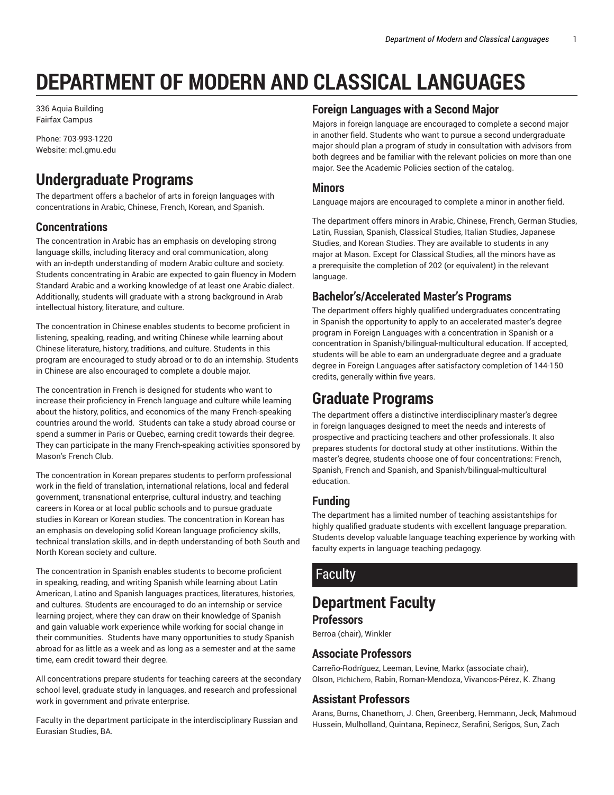# **DEPARTMENT OF MODERN AND CLASSICAL LANGUAGES**

336 Aquia Building Fairfax Campus

Phone: 703-993-1220 Website: mcl.gmu.edu

### **Undergraduate Programs**

The department offers a bachelor of arts in foreign languages with concentrations in Arabic, Chinese, French, Korean, and Spanish.

### **Concentrations**

The concentration in Arabic has an emphasis on developing strong language skills, including literacy and oral communication, along with an in-depth understanding of modern Arabic culture and society. Students concentrating in Arabic are expected to gain fluency in Modern Standard Arabic and a working knowledge of at least one Arabic dialect. Additionally, students will graduate with a strong background in Arab intellectual history, literature, and culture.

The concentration in Chinese enables students to become proficient in listening, speaking, reading, and writing Chinese while learning about Chinese literature, history, traditions, and culture. Students in this program are encouraged to study abroad or to do an internship. Students in Chinese are also encouraged to complete a double major.

The concentration in French is designed for students who want to increase their proficiency in French language and culture while learning about the history, politics, and economics of the many French-speaking countries around the world. Students can take a study abroad course or spend a summer in Paris or Quebec, earning credit towards their degree. They can participate in the many French-speaking activities sponsored by Mason's French Club.

The concentration in Korean prepares students to perform professional work in the field of translation, international relations, local and federal government, transnational enterprise, cultural industry, and teaching careers in Korea or at local public schools and to pursue graduate studies in Korean or Korean studies. The concentration in Korean has an emphasis on developing solid Korean language proficiency skills, technical translation skills, and in-depth understanding of both South and North Korean society and culture.

The concentration in Spanish enables students to become proficient in speaking, reading, and writing Spanish while learning about Latin American, Latino and Spanish languages practices, literatures, histories, and cultures. Students are encouraged to do an internship or service learning project, where they can draw on their knowledge of Spanish and gain valuable work experience while working for social change in their communities. Students have many opportunities to study Spanish abroad for as little as a week and as long as a semester and at the same time, earn credit toward their degree.

All concentrations prepare students for teaching careers at the secondary school level, graduate study in languages, and research and professional work in government and private enterprise.

Faculty in the department participate in the interdisciplinary Russian and Eurasian Studies, BA.

### **Foreign Languages with a Second Major**

Majors in foreign language are encouraged to complete a second major in another field. Students who want to pursue a second undergraduate major should plan a program of study in consultation with advisors from both degrees and be familiar with the relevant policies on more than one major. See the Academic Policies section of the catalog.

#### **Minors**

Language majors are encouraged to complete a minor in another field.

The department offers minors in Arabic, Chinese, French, German Studies, Latin, Russian, Spanish, Classical Studies, Italian Studies, Japanese Studies, and Korean Studies. They are available to students in any major at Mason. Except for Classical Studies, all the minors have as a prerequisite the completion of 202 (or equivalent) in the relevant language.

### **Bachelor's/Accelerated Master's Programs**

The department offers highly qualified undergraduates concentrating in Spanish the opportunity to apply to an accelerated master's degree program in Foreign Languages with a concentration in Spanish or a concentration in Spanish/bilingual-multicultural education. If accepted, students will be able to earn an undergraduate degree and a graduate degree in Foreign Languages after satisfactory completion of 144-150 credits, generally within five years.

### **Graduate Programs**

The department offers a distinctive interdisciplinary master's degree in foreign languages designed to meet the needs and interests of prospective and practicing teachers and other professionals. It also prepares students for doctoral study at other institutions. Within the master's degree, students choose one of four concentrations: French, Spanish, French and Spanish, and Spanish/bilingual-multicultural education.

### **Funding**

The department has a limited number of teaching assistantships for highly qualified graduate students with excellent language preparation. Students develop valuable language teaching experience by working with faculty experts in language teaching pedagogy.

### Faculty

## **Department Faculty**

### **Professors**

Berroa (chair), Winkler

### **Associate Professors**

Carreño-Rodríguez, Leeman, Levine, Markx (associate chair), Olson, Pichichero, Rabin, Roman-Mendoza, Vivancos-Pérez, K. Zhang

#### **Assistant Professors**

Arans, Burns, Chanethom, J. Chen, Greenberg, Hemmann, Jeck, Mahmoud Hussein, Mulholland, Quintana, Repinecz, Serafini, Serigos, Sun, Zach